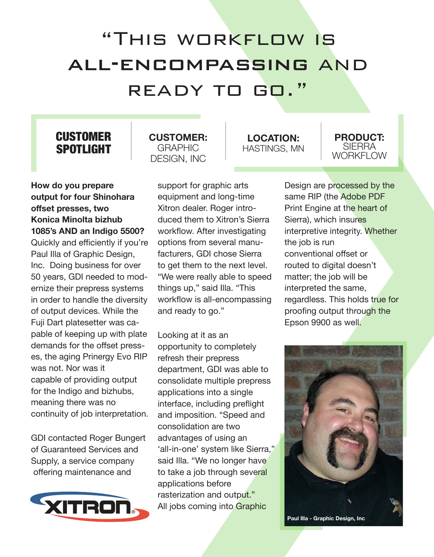## "This workflow is all-encompassing and ready to go."

## **CUSTOMER** SPOTLIGHT

**How do you prepare output for four Shinohara offset presses, two Konica Minolta bizhub 1085's AND an Indigo 5500?**  Quickly and efficiently if you're Paul Illa of Graphic Design, Inc. Doing business for over 50 years, GDI needed to modernize their prepress systems in order to handle the diversity of output devices. While the Fuji Dart platesetter was capable of keeping up with plate demands for the offset presses, the aging Prinergy Evo RIP was not. Nor was it capable of providing output for the Indigo and bizhubs, meaning there was no continuity of job interpretation.

GDI contacted Roger Bungert of Guaranteed Services and Supply, a service company offering maintenance and



**CUSTOMER:** GRAPHIC DESIGN, INC

> support for graphic arts equipment and long-time Xitron dealer. Roger introduced them to Xitron's Sierra workflow. After investigating options from several manufacturers, GDI chose Sierra to get them to the next level. "We were really able to speed things up," said Illa. "This workflow is all-encompassing and ready to go."

Looking at it as an opportunity to completely refresh their prepress department, GDI was able to consolidate multiple prepress applications into a single interface, including preflight and imposition. "Speed and consolidation are two advantages of using an 'all-in-one' system like Sierra," said Illa. "We no longer have to take a job through several applications before rasterization and output." All jobs coming into Graphic

**LOCATION:** HASTINGS, MN

**PRODUCT:** SIERRA WORKFI OW

Design are processed by the same RIP (the Adobe PDF Print Engine at the heart of Sierra), which insures interpretive integrity. Whether the job is run conventional offset or routed to digital doesn't matter; the job will be interpreted the same, regardless. This holds true for proofing output through the Epson 9900 as well.